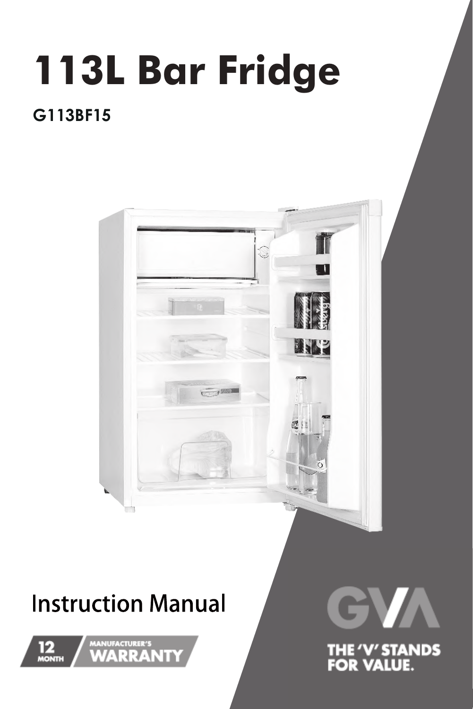# **113L Bar Fridge**

### **G113BF15**



## **Instruction Manual**





THE 'V' STANDS<br>FOR VALUE.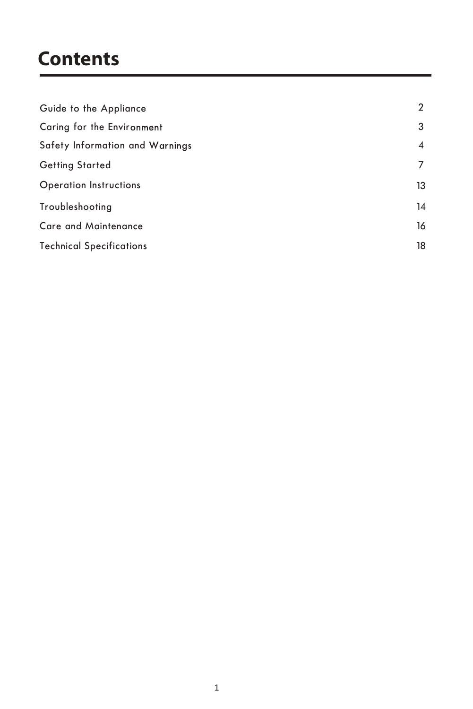### **Contents**

| Guide to the Appliance          | $\overline{2}$ |
|---------------------------------|----------------|
| Caring for the Environment      | 3              |
| Safety Information and Warnings | 4              |
| <b>Getting Started</b>          | 7              |
| <b>Operation Instructions</b>   | 13             |
| Troubleshooting                 | 14             |
| <b>Care and Maintenance</b>     | 16             |
| <b>Technical Specifications</b> | 18             |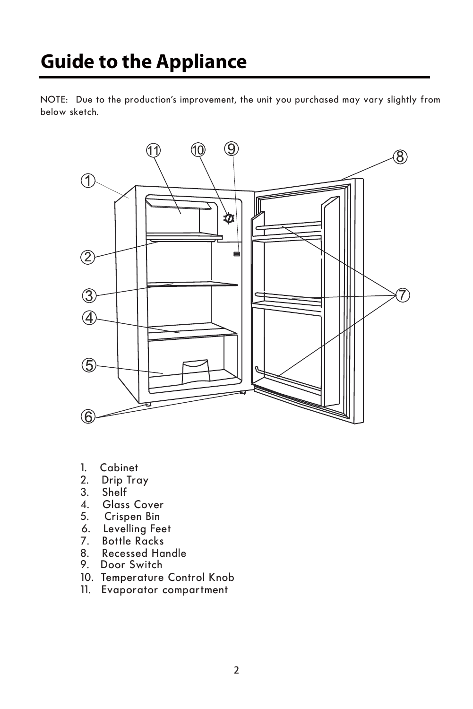## **Guide to the Appliance**

NOTE: Due to the production's improvement, the unit you purchased may vary slightly from below sketch.



- 1. Cabinet<br>2. Drip Tro
- Drip Tray
- 3. Shelf<br>4. Glass
- Glass Cover
- 5. Crispen Bin
- 6. Levelling Feet<br>7. Bottle Racks
- 7. Bottle Racks
- 8. Recessed Handle<br>9. Door Switch
- Door Switch
- 10. Temperature Control Knob
- 11. Evaporator compartment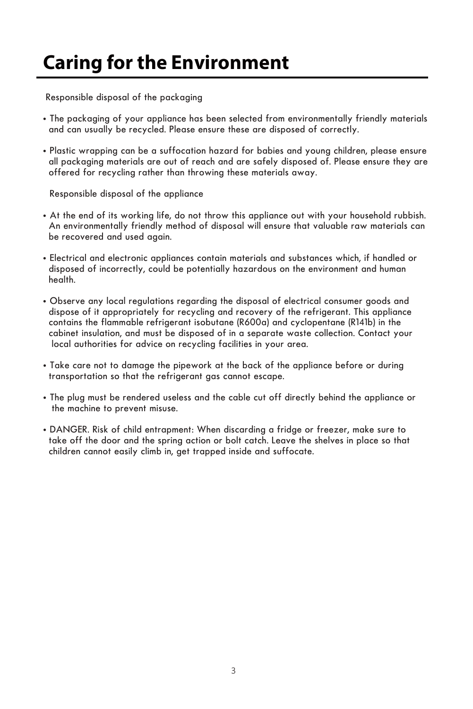## **Caring for the Environment**

Responsible disposal of the packaging

- **•** The packaging of your appliance has been selected from environmentally friendly materials and can usually be recycled. Please ensure these are disposed of correctly.
- **•** Plastic wrapping can be a suffocation hazard for babies and young children, please ensure all packaging materials are out of reach and are safely disposed of. Please ensure they are offered for recycling rather than throwing these materials away.

Responsible disposal of the appliance

- At the end of its working life, do not throw this appliance out with your household rubbish. An environmentally friendly method of disposal will ensure that valuable raw materials can be recovered and used again.
- **•** Electrical and electronic appliances contain materials and substances which, if handled or disposed of incorrectly, could be potentially hazardous on the environment and human health.
- **•** Observe any local regulations regarding the disposal of electrical consumer goods and dispose of it appropriately for recycling and recovery of the refrigerant. This appliance contains the flammable refrigerant isobutane (R600a) and cyclopentane (R141b) in the cabinet insulation, and must be disposed of in a separate waste collection. Contact your local authorities for advice on recycling facilities in your area.
- **•** Take care not to damage the pipework at the back of the appliance before or during transportation so that the refrigerant gas cannot escape.
- **•** The plug must be rendered useless and the cable cut off directly behind the appliance or the machine to prevent misuse.
- **•** DANGER. Risk of child entrapment: When discarding a fridge or freezer, make sure to take off the door and the spring action or bolt catch. Leave the shelves in place so that children cannot easily climb in, get trapped inside and suffocate.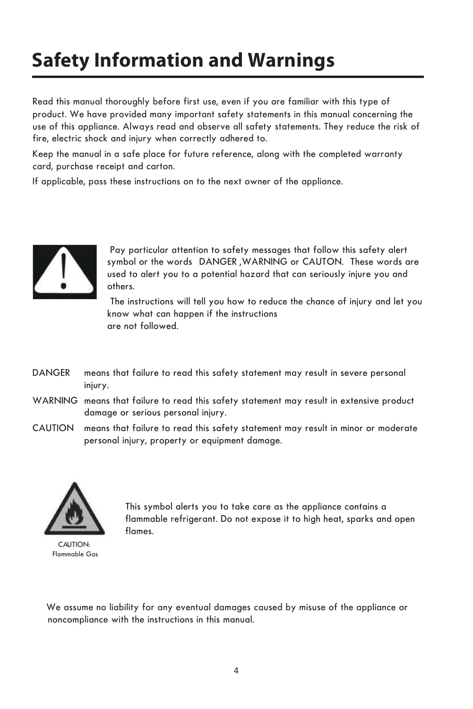## **Safety Information and Warnings**

Read this manual thoroughly before first use, even if you are familiar with this type of fire, electric shock and injury when correctly adhered to. product. We have provided many important safety statements in this manual concerning the use of this appliance. Always read and observe all safety statements. They reduce the risk of

Keep the manual in a safe place for future reference, along with the completed warranty card, purchase receipt and carton.

If applicable, pass these instructions on to the next owner of the appliance.



 Pay particular attention to safety messages that follow this safety alert symbol or the words DANGER ,WARNING or CAUTON. These words are used to alert you to a potential hazard that can seriously injure you and others.

 The instructions will tell you how to reduce the chance of injury and let you know what can happen if the instructions are not followed.

- DANGER means that failure to read this safety statement may result in severe personal injury.
- WARNING means that failure to read this safety statement may result in extensive product damage or serious personal injury.
- CAUTION means that failure to read this safety statement may result in minor or moderate personal injury, property or equipment damage.



CAUTION: Flammable Gas This symbol alerts you to take care as the appliance contains a flammable refrigerant. Do not expose it to high heat, sparks and open flames.

We assume no liability for any eventual damages caused by misuse of the appliance or noncompliance with the instructions in this manual.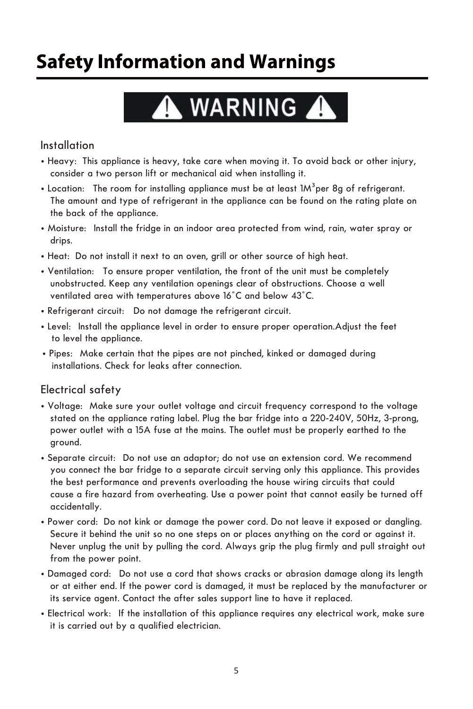## **Safety Information and Warnings**

## A WARNING A

#### Installation

- **•** Heavy: This appliance is heavy, take care when moving it. To avoid back or other injury, consider a two person lift or mechanical aid when installing it.
- Location: The room for installing appliance must be at least 1M<sup>3</sup>per 8g of refrigerant. The amount and type of refrigerant in the appliance can be found on the rating plate on the back of the appliance.
- **•** Moisture: Install the fridge in an indoor area protected from wind, rain, water spray or drips.
- **•** Heat: Do not install it next to an oven, grill or other source of high heat.
- Ventilation: To ensure proper ventilation, the front of the unit must be completely unobstructed. Keep any ventilation openings clear of obstructions. Choose a well ventilated area with temperatures above 16˚C and below 43˚C.
- **•** Refrigerant circuit: Do not damage the refrigerant circuit.
- **•** Level: Install the appliance level in order to ensure proper operation.Adjust the feet to level the appliance.
- **•** Pipes: Make certain that the pipes are not pinched, kinked or damaged during installations. Check for leaks after connection.

#### Electrical safety

- **•** Voltage: Make sure your outlet voltage and circuit frequency correspond to the voltage stated on the appliance rating label. Plug the bar fridge into a 220-240V, 50Hz, 3-prong, power outlet with a 15A fuse at the mains. The outlet must be properly earthed to the ground.
- **•** Separate circuit: Do not use an adaptor; do not use an extension cord. We recommend you connect the bar fridge to a separate circuit serving only this appliance. This provides the best performance and prevents overloading the house wiring circuits that could cause a fire hazard from overheating. Use a power point that cannot easily be turned off accidentally.
- **•** Power cord: Do not kink or damage the power cord. Do not leave it exposed or dangling. Secure it behind the unit so no one steps on or places anything on the cord or against it. Never unplug the unit by pulling the cord. Always grip the plug firmly and pull straight out from the power point.
- **•** Damaged cord: Do not use a cord that shows cracks or abrasion damage along its length or at either end. If the power cord is damaged, it must be replaced by the manufacturer or its service agent. Contact the after sales support line to have it replaced.
- **•** Electrical work: If the installation of this appliance requires any electrical work, make sure it is carried out by a qualified electrician.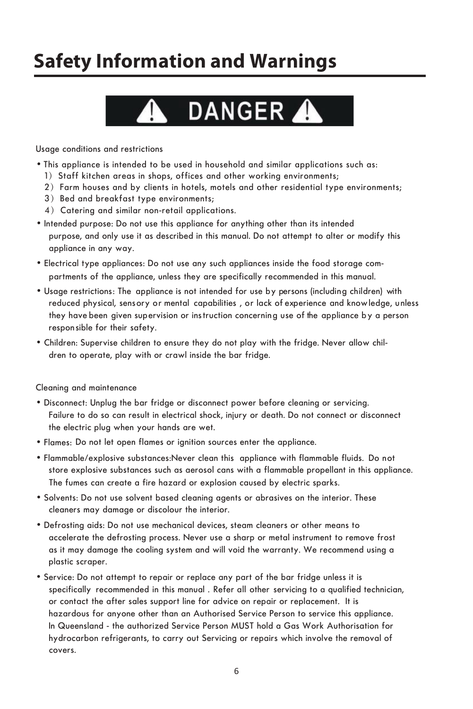## **Safety Information and Warnings**

## **DANGER**

Usage conditions and restrictions

- This appliance is intended to be used in household and similar applications such as:
	- 1) Staff kitchen areas in shops, offices and other working environments;
	- 2) Farm houses and by clients in hotels, motels and other residential type environments;
	- 3) Bed and breakfast type environments;
	- 4) Catering and similar non-retail applications.
- Intended purpose: Do not use this appliance for anything other than its intended purpose, and only use it as described in this manual. Do not attempt to alter or modify this appliance in any way.
- partments of the appliance, unless they are specifically recommended in this manual. • Electrical type appliances: Do not use any such appliances inside the food storage com-
- Usage restrictions: The appliance is not intended for use by persons (including children) with reduced physical, sens ory or mental capabilities, or lack of experience and know ledge, unless they have been given supervision or instruction concerning use of the appliance by a person respon sible for their safety.
- Children: Supervise children to ensure they do not play with the fridge. Never allow children to operate, play with or crawl inside the bar fridge.

Cleaning and maintenance

- Disconnect: Unplug the bar fridge or disconnect power before cleaning or servicing. Failure to do so can result in electrical shock, injury or death. Do not connect or disconnect the electric plug when your hands are wet.
- Flames: Do not let open flames or ignition sources enter the appliance.
- Flammable/explosive substances:Never clean this appliance with flammable fluids. Do not store explosive substances such as aerosol cans with a flammable propellant in this appliance. The fumes can create a fire hazard or explosion caused by electric sparks.
- Solvents: Do not use solvent based cleaning agents or abrasives on the interior. These cleaners may damage or discolour the interior.
- Defrosting aids: Do not use mechanical devices, steam cleaners or other means to accelerate the defrosting process. Never use a sharp or metal instrument to remove frost as it may damage the cooling system and will void the warranty. We recommend using a plastic scraper.
- specifically recommended in this manual . Refer all other servicing to a qualified technician, • Service: Do not attempt to repair or replace any part of the bar fridge unless it is or contact the after sales support line for advice on repair or replacement. It is hazardous for anyone other than an Authorised Service Person to service this appliance. In Queensland - the authorized Service Person MUST hold a Gas Work Authorisation for hydrocarbon refrigerants, to carry out Servicing or repairs which involve the removal of covers.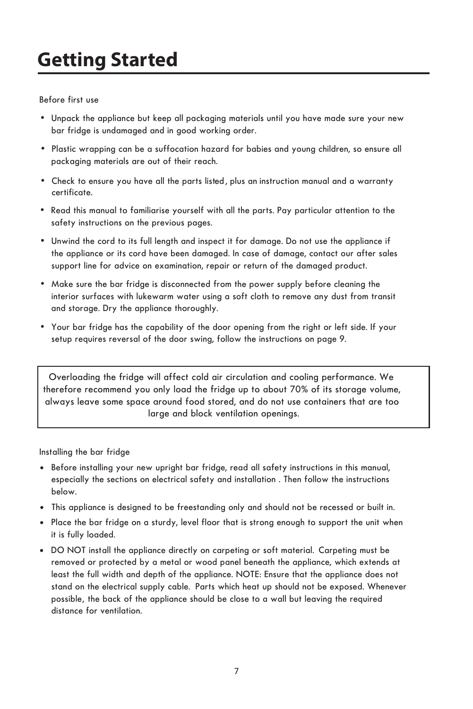Before first use

- Unpack the appliance but keep all packaging materials until you have made sure your new bar fridge is undamaged and in good working order.
- Plastic wrapping can be a suffocation hazard for babies and young children, so ensure all packaging materials are out of their reach.
- Check to ensure you have all the parts listed , plus an instruction manual and a warranty certificate.
- Read this manual to familiarise yourself with all the parts. Pay particular attention to the safety instructions on the previous pages.
- Unwind the cord to its full length and inspect it for damage. Do not use the appliance if the appliance or its cord have been damaged. In case of damage, contact our after sales support line for advice on examination, repair or return of the damaged product.
- Make sure the bar fridge is disconnected from the power supply before cleaning the interior surfaces with lukewarm water using a soft cloth to remove any dust from transit and storage. Dry the appliance thoroughly.
- Your bar fridge has the capability of the door opening from the right or left side. If your setup requires reversal of the door swing, follow the instructions on page 9.

Overloading the fridge will affect cold air circulation and cooling performance. We therefore recommend you only load the fridge up to about 70% of its storage volume, always leave some space around food stored, and do not use containers that are too large and block ventilation openings.

Installing the bar fridge

- Before installing your new upright bar fridge, read all safety instructions in this manual, especially the sections on electrical safety and installation . Then follow the instructions below.
- This appliance is designed to be freestanding only and should not be recessed or built in.
- Place the bar fridge on a sturdy, level floor that is strong enough to support the unit when it is fully loaded.
- DO NOT install the appliance directly on carpeting or soft material. Carpeting must be removed or protected by a metal or wood panel beneath the appliance, which extends at least the full width and depth of the appliance. NOTE: Ensure that the appliance does not stand on the electrical supply cable. Parts which heat up should not be exposed. Whenever possible , the back of the appliance should be close to a wall but leaving the required distance for ventilation.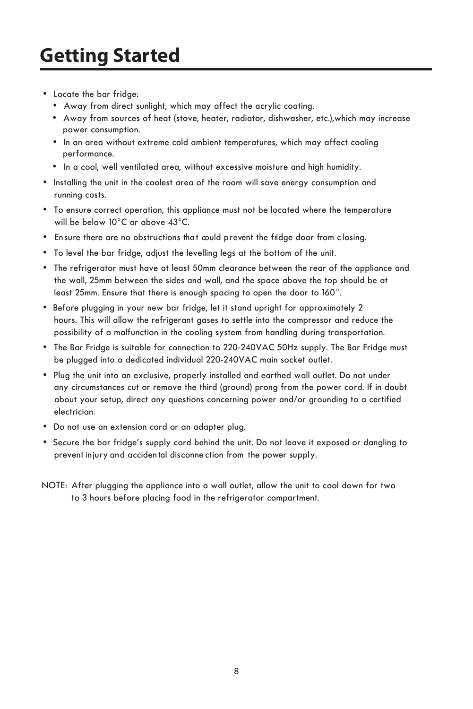- Locate the bar fridge:
	- Away from direct sunlight, which may affect the acrylic coating.
	- Away from sources of heat (stove, heater, radiator, dishwasher, etc.),which may increase power consumption.
	- In an area without extreme cold ambient temperatures, which may affect cooling performance.
	- In a cool, well ventilated area, without excessive moisture and high humidity.
- Installing the unit in the coolest area of the room will save energy consumption and running costs.
- To ensure correct operation, this appliance must not be located where the temperature will be below 10°C or above 43°C.
- Ensure there are no obstructions that could p revent the fridge door from closing.
- To level the bar fridge, adjust the levelling legs at the bottom of the unit.
- The refrigerator must have at least 50mm clearance between the rear of the appliance and the wall, 25mm between the sides and wall, and the space above the top should be at least 25mm. Ensure that there is enough spacing to open the door to 160°.
- Before plugging in your new bar fridge, let it stand upright for approximately 2 hours. This will allow the refrigerant gases to settle into the compressor and reduce the possibility of a malfunction in the cooling system from handling during transportation.
- The Bar Fridge is suitable for connection to 220-240VAC 50Hz supply. The Bar Fridge must be plugged into a dedicated individual 220-240VAC main socket outlet.
- about your setup, direct any questions concerning power and/or grounding to a certified • Plug the unit into an exclusive, properly installed and earthed wall outlet. Do not under any circumstances cut or remove the third (ground) prong from the power cord. If in doubt electrician.
- Do not use an extension cord or an adapter plug.
- Secure the bar fridge's supply cord behind the unit. Do not leave it exposed or dangling to prevent injury and accidental disconne ction from the power supply.
- NOTE: After plugging the appliance into a wall outlet, allow the unit to cool down for two to 3 hours before placing food in the refrigerator compartment.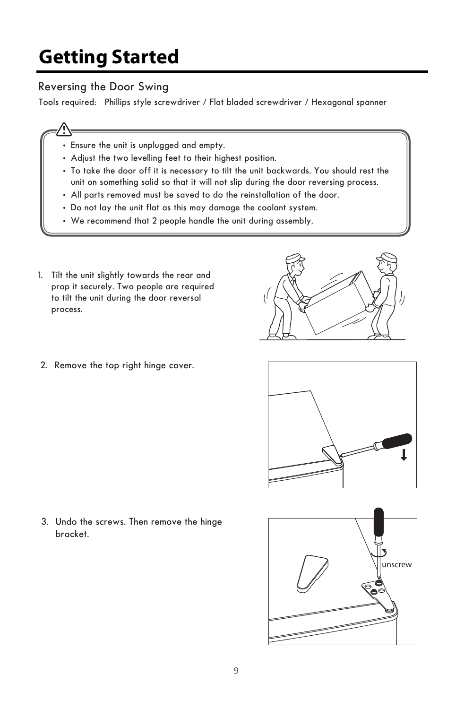#### Reversing the Door Swing

Tools required: Phillips style screwdriver / Flat bladed screwdriver / Hexagonal spanner

- - Ensure the unit is unplugged and empty.
	- Adjust the two levelling feet to their highest position.
	- To take the door off it is necessary to tilt the unit backwards. You should rest the unit on something solid so that it will not slip during the door reversing process.
	- All parts removed must be saved to do the reinstallation of the door.
	- Do not lay the unit flat as this may damage the coolant system.
	- We recommend that 2 people handle the unit during assembly.
- 1. Tilt the unit slightly towards the rear and prop it securely. Two people are required to tilt the unit during the door reversal process.
- (Í
- 2. Remove the top right hinge cover.



3. Undo the screws. Then remove the hinge bracket.

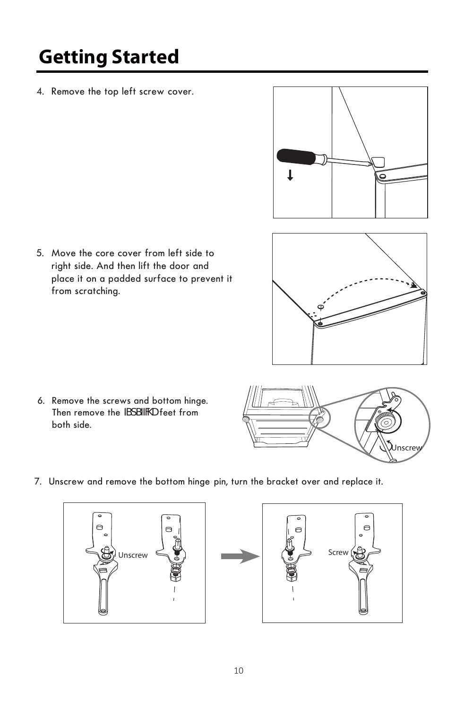4. Remove the top left screw cover.

5. Move the core cover from left side to right side. And then lift the door and place it on a padded surface to prevent it from scratching.





6. Remove the screws and bottom hinge. Then remove the **ZdSZNU** feet from both side.



7. Unscrew and remove the bottom hinge pin, turn the bracket over and replace it.



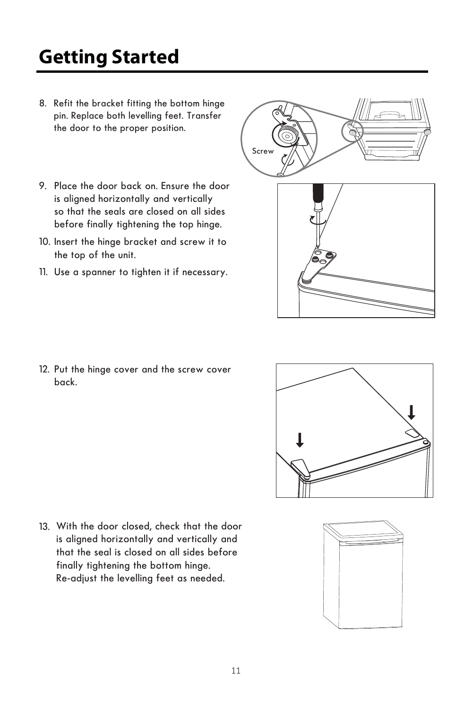- 8. Refit the bracket fitting the bottom hinge pin. Replace both levelling feet. Transfer the door to the proper position.
- 9. Place the door back on. Ensure the door is aligned horizontally and vertically so that the seals are closed on all sides before finally tightening the top hinge.
- 10. Insert the hinge bracket and screw it to the top of the unit.
- 11. Use a spanner to tighten it if necessary.

12. Put the hinge cover and the screw cover back.

13. With the door closed, check that the door is aligned horizontally and vertically and that the seal is closed on all sides before finally tightening the bottom hinge. Re-adjust the levelling feet as needed.







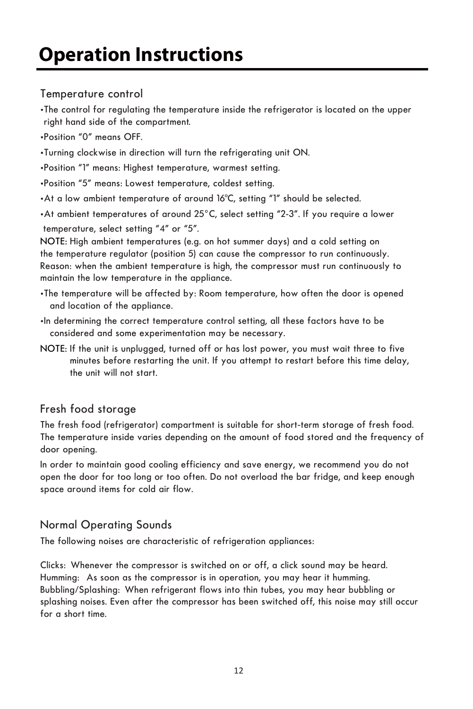#### Temperature control

•The control for regulating the temperature inside the refrigerator is located on the upper right hand side of the compartment.

- •Position "0" means OFF.
- •Turning clockwise in direction will turn the refrigerating unit ON.
- •Position "1" means: Highest temperature, warmest setting.
- •Position "5" means: Lowest temperature, coldest setting.
- •At a low ambient temperature of around 16°C, setting "1" should be selected.
- •At ambient temperatures of around 25°C, select setting "2-3". If you require a lower temperature, select setting "4" or "5".

NOTE: High ambient temperatures (e.g. on hot summer days) and a cold setting on the temperature regulator (position 5) can cause the compressor to run continuously. Reason: when the ambient temperature is high, the compressor must run continuously to maintain the low temperature in the appliance.

- •The temperature will be affected by: Room temperature, how often the door is opened and location of the appliance.
- •In determining the correct temperature control setting, all these factors have to be considered and some experimentation may be necessary.
- NOTE: If the unit is unplugged, turned off or has lost power, you must wait three to five minutes before restarting the unit. If you attempt to restart before this time delay, the unit will not start.

#### Fresh food storage

The fresh food (refrigerator) compartment is suitable for short-term storage of fresh food. The temperature inside varies depending on the amount of food stored and the frequency of door opening.

space around items for cold air flow. In order to maintain good cooling efficiency and save energy, we recommend you do not open the door for too long or too often. Do not overload the bar fridge, and keep enough

#### Normal Operating Sounds

The following noises are characteristic of refrigeration appliances:

splashing noises. Even after the compressor has been switched off, this noise may still occur Bubbling/Splashing: When refrigerant flows into thin tubes, you may hear bubbling or Clicks: Whenever the compressor is switched on or off, a click sound may be heard. Humming: As soon as the compressor is in operation, you may hear it humming. for a short time.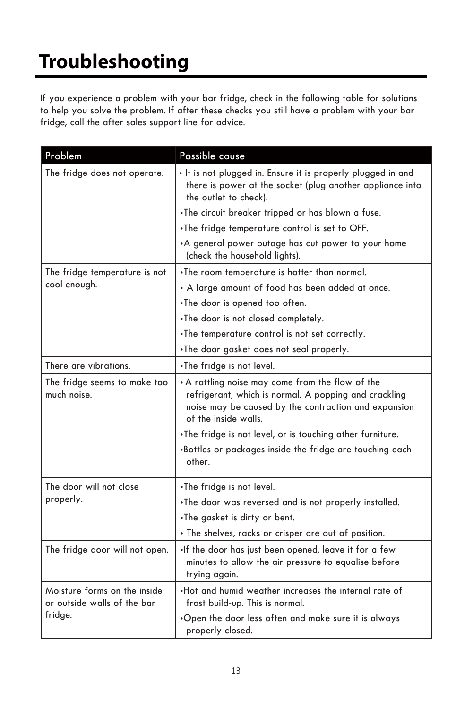## **Troubleshooting**

If you experience a problem with your bar fridge, check in the following table for solutions to help you solve the problem. If after these checks you still have a problem with your bar fridge, call the after sales support line for advice.

| Problem                                                     | Possible cause                                                                                                                                                                            |
|-------------------------------------------------------------|-------------------------------------------------------------------------------------------------------------------------------------------------------------------------------------------|
| The fridge does not operate.                                | . It is not plugged in. Ensure it is properly plugged in and<br>there is power at the socket (plug another appliance into<br>the outlet to check).                                        |
|                                                             | . The circuit breaker tripped or has blown a fuse.                                                                                                                                        |
|                                                             | . The fridge temperature control is set to OFF.                                                                                                                                           |
|                                                             | •A general power outage has cut power to your home<br>(check the household lights).                                                                                                       |
| The fridge temperature is not                               | . The room temperature is hotter than normal.                                                                                                                                             |
| cool enough.                                                | • A large amount of food has been added at once.                                                                                                                                          |
|                                                             | .The door is opened too often.                                                                                                                                                            |
|                                                             | .The door is not closed completely.                                                                                                                                                       |
|                                                             | . The temperature control is not set correctly.                                                                                                                                           |
|                                                             | •The door gasket does not seal properly.                                                                                                                                                  |
| There are vibrations.                                       | •The fridge is not level.                                                                                                                                                                 |
| The fridge seems to make too<br>much noise.                 | • A rattling noise may come from the flow of the<br>refrigerant, which is normal. A popping and crackling<br>noise may be caused by the contraction and expansion<br>of the inside walls. |
|                                                             | . The fridge is not level, or is touching other furniture.                                                                                                                                |
|                                                             | .Bottles or packages inside the fridge are touching each<br>other.                                                                                                                        |
| The door will not close                                     | .The fridge is not level.                                                                                                                                                                 |
| properly.                                                   | . The door was reversed and is not properly installed.                                                                                                                                    |
|                                                             | . The gasket is dirty or bent.                                                                                                                                                            |
|                                                             | · The shelves, racks or crisper are out of position.                                                                                                                                      |
| The fridge door will not open.                              | .If the door has just been opened, leave it for a few<br>minutes to allow the air pressure to equalise before<br>trying again.                                                            |
| Moisture forms on the inside<br>or outside walls of the bar | . Hot and humid weather increases the internal rate of<br>frost build-up. This is normal.                                                                                                 |
| fridge.                                                     | .Open the door less often and make sure it is always<br>properly closed.                                                                                                                  |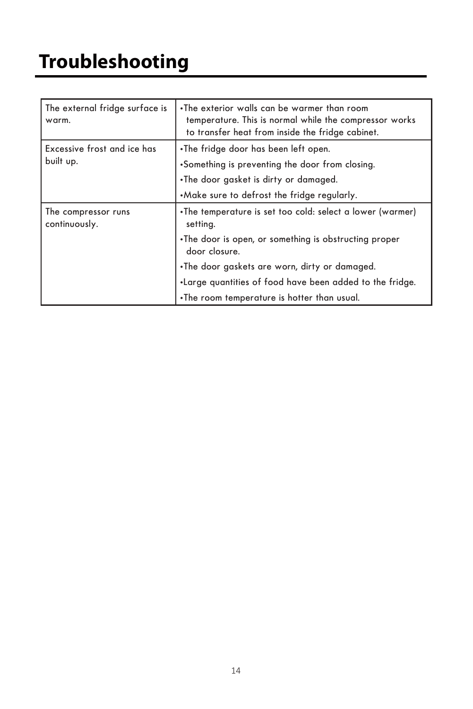| The external fridge surface is<br>warm.  | . The exterior walls can be warmer than room<br>temperature. This is normal while the compressor works<br>to transfer heat from inside the fridge cabinet. |
|------------------------------------------|------------------------------------------------------------------------------------------------------------------------------------------------------------|
| Excessive frost and ice has<br>built up. | •The fridge door has been left open.                                                                                                                       |
|                                          | •Something is preventing the door from closing.                                                                                                            |
|                                          | •The door gasket is dirty or damaged.                                                                                                                      |
|                                          | .Make sure to defrost the fridge regularly.                                                                                                                |
| The compressor runs<br>continuously.     | . The temperature is set too cold: select a lower (warmer)<br>setting.                                                                                     |
|                                          | •The door is open, or something is obstructing proper<br>door closure.                                                                                     |
|                                          | •The door gaskets are worn, dirty or damaged.                                                                                                              |
|                                          | . Large quantities of food have been added to the fridge.                                                                                                  |
|                                          | . The room temperature is hotter than usual.                                                                                                               |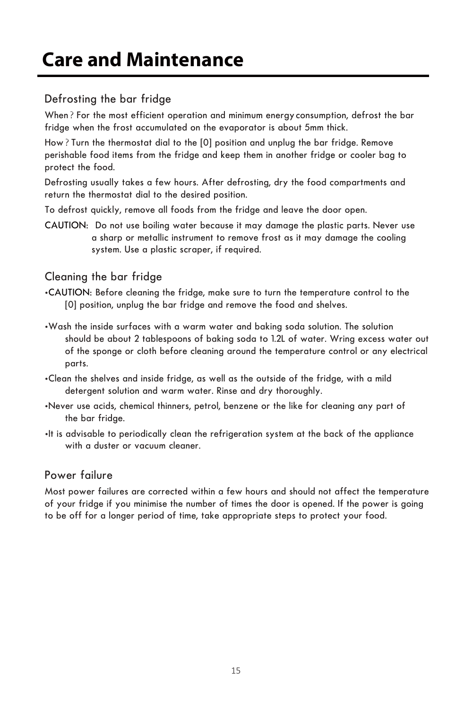## **Care and Maintenance**

#### Defrosting the bar fridge

When? For the most efficient operation and minimum energy consumption, defrost the bar fridge when the frost accumulated on the evaporator is about 5mm thick.

How?Turn the thermostat dial to the [0] position and unplug the bar fridge. Remove perishable food items from the fridge and keep them in another fridge or cooler bag to protect the food.

Defrosting usually takes a few hours. After defrosting, dry the food compartments and return the thermostat dial to the desired position.

To defrost quickly, remove all foods from the fridge and leave the door open.

CAUTION: Do not use boiling water because it may damage the plastic parts. Never use a sharp or metallic instrument to remove frost as it may damage the cooling system. Use a plastic scraper, if required.

#### Cleaning the bar fridge

- •CAUTION: Before cleaning the fridge, make sure to turn the temperature control to the [0] position, unplug the bar fridge and remove the food and shelves.
- •Wash the inside surfaces with a warm water and baking soda solution. The solution should be about 2 tablespoons of baking soda to 1.2L of water. Wring excess water out of the sponge or cloth before cleaning around the temperature control or any electrical parts.
- •Clean the shelves and inside fridge, as well as the outside of the fridge, with a mild detergent solution and warm water. Rinse and dry thoroughly.
- •Never use acids, chemical thinners, petrol, benzene or the like for cleaning any part of the bar fridge.
- •It is advisable to periodically clean the refrigeration system at the back of the appliance with a duster or vacuum cleaner.

#### Power failure

Most power failures are corrected within a few hours and should not affect the temperature of your fridge if you minimise the number of times the door is opened. If the power is going to be off for a longer period of time, take appropriate steps to protect your food.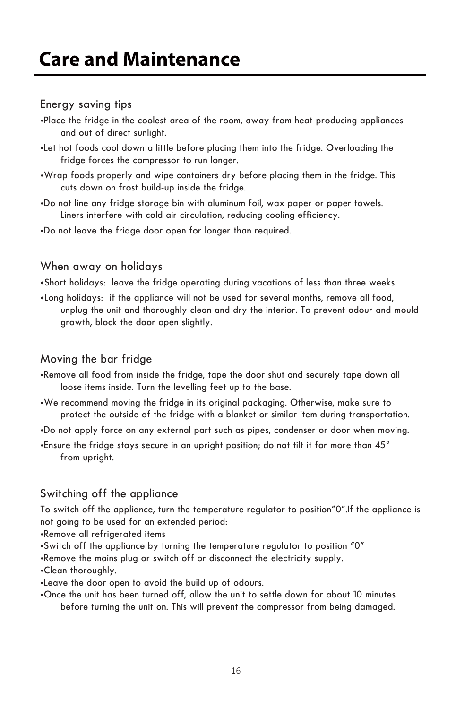## **Care and Maintenance**

#### Energy saving tips

- •Place the fridge in the coolest area of the room, away from heat-producing appliances and out of direct sunlight.
- •Let hot foods cool down a little before placing them into the fridge. Overloading the fridge forces the compressor to run longer.
- •Wrap foods properly and wipe containers dry before placing them in the fridge. This cuts down on frost build-up inside the fridge.
- Liners interfere with cold air circulation, reducing cooling efficiency. •Do not line any fridge storage bin with aluminum foil, wax paper or paper towels.
- •Do not leave the fridge door open for longer than required.

#### When away on holidays

**•**Short holidays: leave the fridge operating during vacations of less than three weeks.

**•**Long holidays: if the appliance will not be used for several months, remove all food, unplug the unit and thoroughly clean and dry the interior. To prevent odour and mould growth, block the door open slightly.

#### Moving the bar fridge

- •Remove all food from inside the fridge, tape the door shut and securely tape down all loose items inside. Turn the levelling feet up to the base.
- •We recommend moving the fridge in its original packaging. Otherwise, make sure to protect the outside of the fridge with a blanket or similar item during transportation.

•Do not apply force on any external part such as pipes, condenser or door when moving.

•Ensure the fridge stays secure in an upright position; do not tilt it for more than 45 ° from upright.

#### Switching off the appliance

not going to be used for an extended period: To switch off the appliance, turn the temperature regulator to position"0".If the appliance is

- •Remove all refrigerated items
- •Switch off the appliance by turning the temperature regulator to position "0"

•Remove the mains plug or switch off or disconnect the electricity supply.

•Clean thoroughly.

•Leave the door open to avoid the build up of odours.

•Once the unit has been turned off, allow the unit to settle down for about 10 minutes before turning the unit on. This will prevent the compressor from being damaged.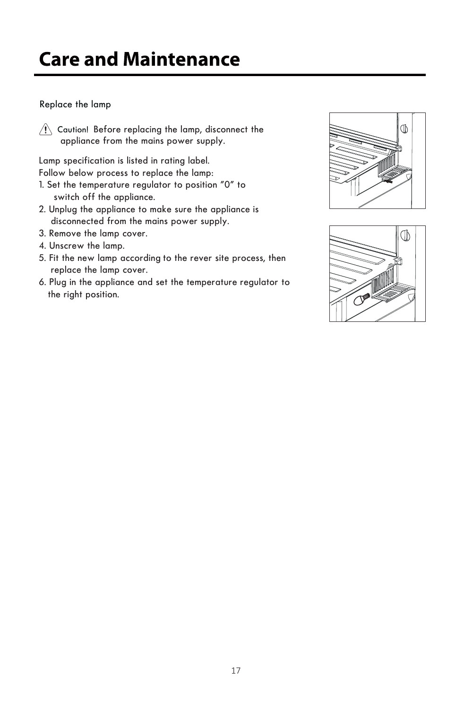## **Care and Maintenance**

#### Replace the lamp

appliance from the mains power supply. Caution! Before replacing the lamp, disconnect the

Lamp specification is listed in rating label. Follow below process to replace the lamp:

- 1. Set the temperature regulator to position "0" to switch off the appliance.
- 2. Unplug the appliance to make sure the appliance is disconnected from the mains power supply.
- 3. Remove the lamp cover.
- 4. Unscrew the lamp.
- 5. Fit the new lamp according to the rever site process, then replace the lamp cover.
- 6. Plug in the appliance and set the temperature regulator to the right position.



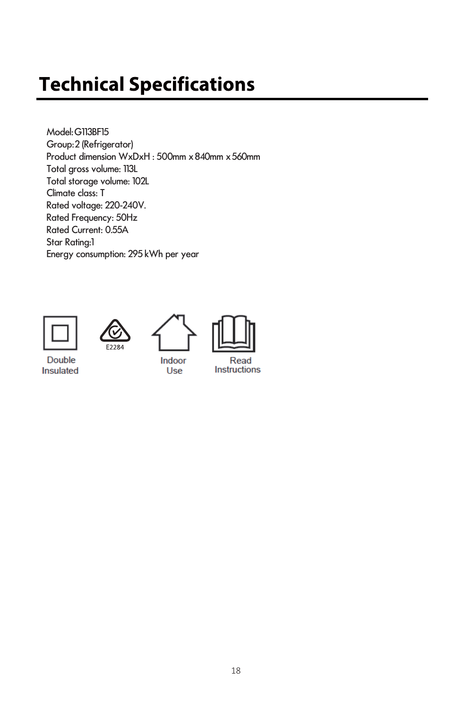## **Technical Specifications**

Model: G113BF15 Group: 2 (Refrigerator) Product dimension WxDxH : 500mm x 840mm x 560mm Total gross volume: 113L Total storage volume: 102L Climate class: T Rated voltage: 220-240V. Rated Frequency: 50Hz Rated Current: 0.55A Star Rating:1 Energy consumption: 295 kWh per year











Instructions